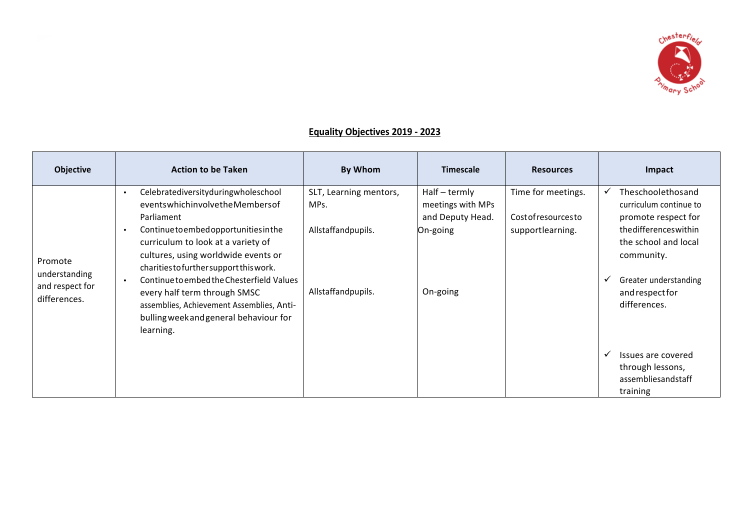

## **Objective Action to be Taken By Whom Timescale Resources Impact** Promote understanding and respect for differences. • Celebratediversityduringwholeschool eventswhichinvolvetheMembersof Parliament • Continuetoembedopportunitiesinthe curriculum to look at a variety of cultures, using worldwide events or charitiestofurthersupportthiswork. • ContinuetoembedtheChesterfield Values every half term through SMSC assemblies, Achievement Assemblies, Antibulling week and general behaviour for learning. SLT, Learning mentors, MPs. Allstaffandpupils. Allstaffandpupils.  $Half - termly$ meetings with MPs and Deputy Head. On-going On-going Time for meetings. Costofresourcesto supportlearning.  $\checkmark$  Theschoolethosand curriculum continue to promote respect for thedifferenceswithin the school and local community.  $\checkmark$  Greater understanding andrespectfor differences.  $\checkmark$  Issues are covered through lessons, assembliesandstaff training

## **Equality Objectives 2019 - 2023**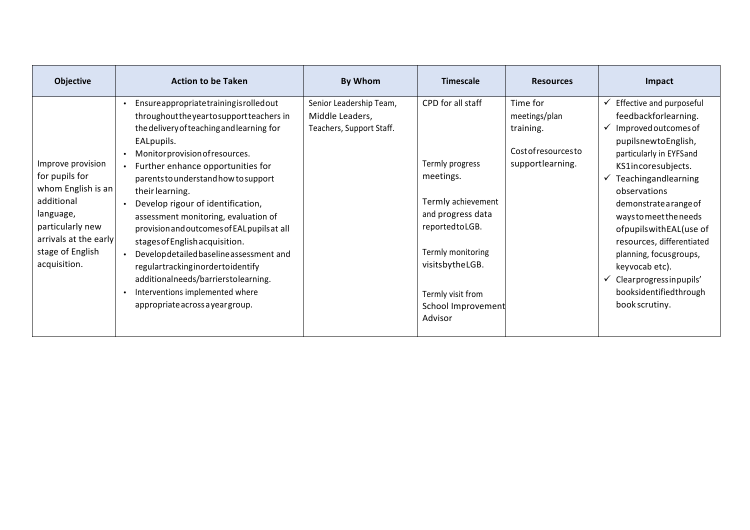| Objective                                                                                                                                                             | <b>Action to be Taken</b>                                                                                                                                                                                                                                                                                                                                                                                                                                                                                                                                                                                                                    | By Whom                                                                | <b>Timescale</b>                                                                                                                                                                                             | <b>Resources</b>                                                                   | Impact                                                                                                                                                                                                                                                                                                                                                                                                               |
|-----------------------------------------------------------------------------------------------------------------------------------------------------------------------|----------------------------------------------------------------------------------------------------------------------------------------------------------------------------------------------------------------------------------------------------------------------------------------------------------------------------------------------------------------------------------------------------------------------------------------------------------------------------------------------------------------------------------------------------------------------------------------------------------------------------------------------|------------------------------------------------------------------------|--------------------------------------------------------------------------------------------------------------------------------------------------------------------------------------------------------------|------------------------------------------------------------------------------------|----------------------------------------------------------------------------------------------------------------------------------------------------------------------------------------------------------------------------------------------------------------------------------------------------------------------------------------------------------------------------------------------------------------------|
| Improve provision<br>for pupils for<br>whom English is an<br>additional<br>language,<br>particularly new<br>arrivals at the early<br>stage of English<br>acquisition. | Ensureappropriatetrainingisrolledout<br>throughout the year to support teachers in<br>the delivery of teaching and learning for<br>EALpupils.<br>Monitor provision of resources.<br>Further enhance opportunities for<br>parents to understand how to support<br>their learning.<br>Develop rigour of identification,<br>assessment monitoring, evaluation of<br>provision and outcomes of EAL pupils at all<br>stages of English acquisition.<br>Develop detailed baseline assessment and<br>regulartrackinginordertoidentify<br>additionalneeds/barrierstolearning.<br>Interventions implemented where<br>appropriate across a year group. | Senior Leadership Team,<br>Middle Leaders,<br>Teachers, Support Staff. | CPD for all staff<br>Termly progress<br>meetings.<br>Termly achievement<br>and progress data<br>reportedtoLGB.<br>Termly monitoring<br>visitsbytheLGB.<br>Termly visit from<br>School Improvement<br>Advisor | Time for<br>meetings/plan<br>training.<br>Cost of resources to<br>supportlearning. | Effective and purposeful<br>feedbackforlearning.<br>Improved outcomes of<br>pupilsnewtoEnglish,<br>particularly in EYFSand<br>KS1incoresubjects.<br>Teachingandlearning<br>observations<br>demonstrate a range of<br>ways to meet the needs<br>ofpupilswithEAL(use of<br>resources, differentiated<br>planning, focusgroups,<br>keyvocab etc).<br>Clearprogressinpupils'<br>booksidentifiedthrough<br>book scrutiny. |